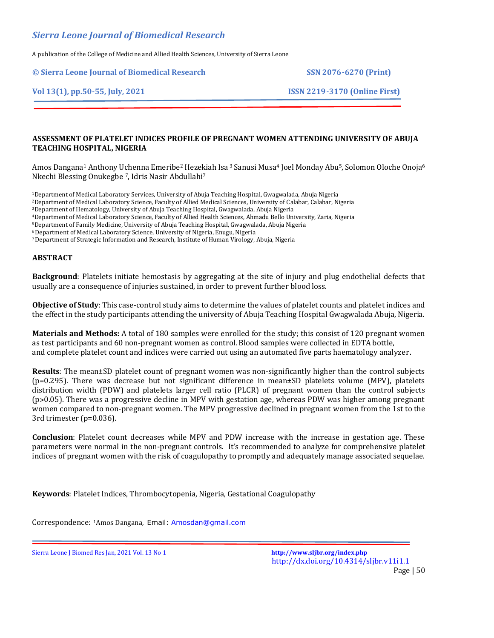# *Sierra Leone Journal of Biomedical Research*

A publication of the College of Medicine and Allied Health Sciences, University of Sierra Leone

**© Sierra Leone Journal of Biomedical Research SSN 2076-6270 (Print)**

**Vol 13(1), pp.50-55, July, 2021 ISSN 2219-3170 (Online First)**

#### **ASSESSMENT OF PLATELET INDICES PROFILE OF PREGNANT WOMEN ATTENDING UNIVERSITY OF ABUJA TEACHING HOSPITAL, NIGERIA**

Amos Dangana<sup>1</sup> Anthony Uchenna Emeribe<sup>2</sup> Hezekiah Isa <sup>3</sup> Sanusi Musa<sup>4</sup> Joel Monday Abu<sup>5</sup>, Solomon Oloche Onoja<sup>6</sup> Nkechi Blessing Onukegbe 7, Idris Nasir Abdullahi<sup>7</sup>

<sup>1</sup>Department of Medical Laboratory Services, University of Abuja Teaching Hospital, Gwagwalada, Abuja Nigeria <sup>2</sup>Department of Medical Laboratory Science, Faculty of Allied Medical Sciences, University of Calabar, Calabar, Nigeria

<sup>3</sup>Department of Hematology, University of Abuja Teaching Hospital, Gwagwalada, Abuja Nigeria

<sup>4</sup>Department of Medical Laboratory Science, Faculty of Allied Health Sciences, Ahmadu Bello University, Zaria, Nigeria

<sup>5</sup>Department of Family Medicine, University of Abuja Teaching Hospital, Gwagwalada, Abuja Nigeria

<sup>6</sup>Department of Medical Laboratory Science, University of Nigeria, Enugu, Nigeria

<sup>7</sup>Department of Strategic Information and Research, Institute of Human Virology, Abuja, Nigeria

## **ABSTRACT**

**Background**: Platelets initiate hemostasis by aggregating at the site of injury and plug endothelial defects that usually are a consequence of injuries sustained, in order to prevent further blood loss.

**Objective of Study**: This case-control study aims to determine the values of platelet counts and platelet indices and the effect in the study participants attending the university of Abuja Teaching Hospital Gwagwalada Abuja, Nigeria.

**Materials and Methods:** A total of 180 samples were enrolled for the study; this consist of 120 pregnant women as test participants and 60 non-pregnant women as control. Blood samples were collected in EDTA bottle, and complete platelet count and indices were carried out using an automated five parts haematology analyzer.

**Results**: The mean±SD platelet count of pregnant women was non-significantly higher than the control subjects (p=0.295). There was decrease but not significant difference in mean±SD platelets volume (MPV), platelets distribution width (PDW) and platelets larger cell ratio (PLCR) of pregnant women than the control subjects  $(p>0.05)$ . There was a progressive decline in MPV with gestation age, whereas PDW was higher among pregnant women compared to non-pregnant women. The MPV progressive declined in pregnant women from the 1st to the 3rd trimester (p=0.036).

**Conclusion**: Platelet count decreases while MPV and PDW increase with the increase in gestation age. These parameters were normal in the non-pregnant controls. It's recommended to analyze for comprehensive platelet indices of pregnant women with the risk of coagulopathy to promptly and adequately manage associated sequelae.

**Keywords**: Platelet Indices, Thrombocytopenia, Nigeria, Gestational Coagulopathy

Correspondence: <sup>1</sup>Amos Dangana, Email: [Amosdan@gmail.com](mailto:Amosdan@gmail.com)

Sierra Leone J Biomed Res Jan, 2021 Vol. 13 No 1 **<http://www.sljbr.org/index.php>**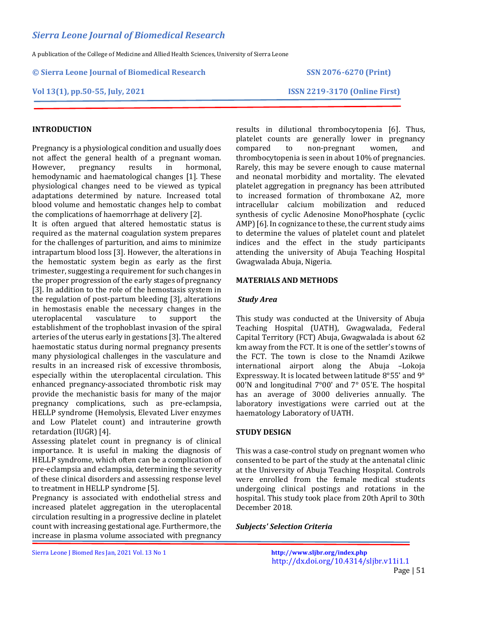**© Sierra Leone Journal of Biomedical Research SSN 2076-6270 (Print)**

#### **Vol 13(1), pp.50-55, July, 2021 ISSN 2219-3170 (Online First)**

# **INTRODUCTION**

Pregnancy is a physiological condition and usually does not affect the general health of a pregnant woman. However, pregnancy results in hormonal, hemodynamic and haematological changes [1]. These physiological changes need to be viewed as typical adaptations determined by nature. Increased total blood volume and hemostatic changes help to combat the complications of haemorrhage at delivery [2].

It is often argued that altered hemostatic status is required as the maternal coagulation system prepares for the challenges of parturition, and aims to minimize intrapartum blood loss [3]. However, the alterations in the hemostatic system begin as early as the first trimester, suggesting a requirement for such changes in the proper progression of the early stages of pregnancy [3]. In addition to the role of the hemostasis system in the regulation of post-partum bleeding [3], alterations in hemostasis enable the necessary changes in the uteroplacental vasculature to support the establishment of the trophoblast invasion of the spiral arteries of the uterus early in gestations [3]. The altered haemostatic status during normal pregnancy presents many physiological challenges in the vasculature and results in an increased risk of excessive thrombosis, especially within the uteroplacental circulation. This enhanced pregnancy-associated thrombotic risk may provide the mechanistic basis for many of the major pregnancy complications, such as pre-eclampsia, HELLP syndrome (Hemolysis, Elevated Liver enzymes and Low Platelet count) and intrauterine growth retardation (IUGR) [4].

Assessing platelet count in pregnancy is of clinical importance. It is useful in making the diagnosis of HELLP syndrome, which often can be a complication of pre-eclampsia and eclampsia, determining the severity of these clinical disorders and assessing response level to treatment in HELLP syndrome [5].

Pregnancy is associated with endothelial stress and increased platelet aggregation in the uteroplacental circulation resulting in a progressive decline in platelet count with increasing gestational age. Furthermore, the increase in plasma volume associated with pregnancy results in dilutional thrombocytopenia [6]. Thus, platelet counts are generally lower in pregnancy compared to non-pregnant women, and thrombocytopenia is seen in about 10% of pregnancies. Rarely, this may be severe enough to cause maternal and neonatal morbidity and mortality. The elevated platelet aggregation in pregnancy has been attributed to increased formation of thromboxane A2, more intracellular calcium mobilization and reduced synthesis of cyclic Adenosine MonoPhosphate (cyclic AMP) [6]. In cognizance to these, the current study aims to determine the values of platelet count and platelet indices and the effect in the study participants attending the university of Abuja Teaching Hospital Gwagwalada Abuja, Nigeria.

#### **MATERIALS AND METHODS**

#### *Study Area*

This study was conducted at the University of Abuja Teaching Hospital (UATH), Gwagwalada, Federal Capital Territory (FCT) Abuja, Gwagwalada is about 62 km away from the FCT. It is one of the settler's towns of the FCT. The town is close to the Nnamdi Azikwe international airport along the Abuja –Lokoja Expressway. It is located between latitude 8°55' and 9° 00'N and longitudinal 7°00' and 7° 05'E. The hospital has an average of 3000 deliveries annually. The laboratory investigations were carried out at the haematology Laboratory of UATH.

## **STUDY DESIGN**

This was a case-control study on pregnant women who consented to be part of the study at the antenatal clinic at the University of Abuja Teaching Hospital. Controls were enrolled from the female medical students undergoing clinical postings and rotations in the hospital. This study took place from 20th April to 30th December 2018.

## *Subjects' Selection Criteria*

Sierra Leone J Biomed Res Jan, 2021 Vol. 13 No 1 **<http://www.sljbr.org/index.php>**

http://dx.doi.org/10.4314/sljbr.v11i1.1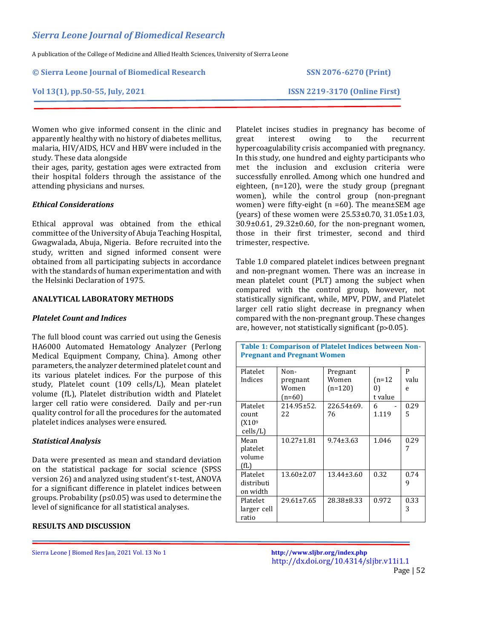**© Sierra Leone Journal of Biomedical Research SSN 2076-6270 (Print)**

**Vol 13(1), pp.50-55, July, 2021 ISSN 2219-3170 (Online First)**

Women who give informed consent in the clinic and apparently healthy with no history of diabetes mellitus, malaria, HIV/AIDS, HCV and HBV were included in the study. These data alongside

their ages, parity, gestation ages were extracted from their hospital folders through the assistance of the attending physicians and nurses.

#### *Ethical Considerations*

Ethical approval was obtained from the ethical committee of the University of Abuja Teaching Hospital, Gwagwalada, Abuja, Nigeria. Before recruited into the study, written and signed informed consent were obtained from all participating subjects in accordance with the standards of human experimentation and with the Helsinki Declaration of 1975.

#### **ANALYTICAL LABORATORY METHODS**

#### *Platelet Count and Indices*

The full blood count was carried out using the Genesis HA6000 Automated Hematology Analyzer (Perlong Medical Equipment Company, China). Among other parameters, the analyzer determined platelet count and its various platelet indices. For the purpose of this study, Platelet count (109 cells/L), Mean platelet volume (fL), Platelet distribution width and Platelet larger cell ratio were considered. Daily and per-run quality control for all the procedures for the automated platelet indices analyses were ensured.

## *Statistical Analysis*

Data were presented as mean and standard deviation on the statistical package for social science (SPSS version 26) and analyzed using student's t-test, ANOVA for a significant difference in platelet indices between groups. Probability (p≤0.05) was used to determine the level of significance for all statistical analyses.

#### **RESULTS AND DISCUSSION**

Platelet incises studies in pregnancy has become of great interest owing to the recurrent hypercoagulability crisis accompanied with pregnancy. In this study, one hundred and eighty participants who met the inclusion and exclusion criteria were successfully enrolled. Among which one hundred and eighteen, (n=120), were the study group (pregnant women), while the control group (non-pregnant women) were fifty-eight (n =60). The mean±SEM age (years) of these women were 25.53±0.70, 31.05±1.03, 30.9±0.61, 29.32±0.60, for the non-pregnant women, those in their first trimester, second and third trimester, respective.

Table 1.0 compared platelet indices between pregnant and non-pregnant women. There was an increase in mean platelet count (PLT) among the subject when compared with the control group, however, not statistically significant, while, MPV, PDW, and Platelet larger cell ratio slight decrease in pregnancy when compared with the non-pregnant group. These changes are, however, not statistically significant  $(p>0.05)$ .

| Table 1: Comparison of Platelet Indices between Non-<br><b>Pregnant and Pregnant Women</b> |                                       |                                |                           |                |  |
|--------------------------------------------------------------------------------------------|---------------------------------------|--------------------------------|---------------------------|----------------|--|
| Platelet<br>Indices                                                                        | Non-<br>pregnant<br>Women<br>$(n=60)$ | Pregnant<br>Women<br>$(n=120)$ | $(n=12)$<br>0)<br>t value | P<br>valu<br>e |  |
| Platelet<br>count<br>(X10 <sup>9</sup> )<br>$\text{cells/L}$                               | $214.95 \pm 52.$<br>22                | 226.54±69.<br>76               | 6<br>1.119                | 0.29<br>5      |  |
| Mean<br>platelet<br>volume<br>(fL)                                                         | $10.27 \pm 1.81$                      | $9.74 \pm 3.63$                | 1.046                     | 0.29<br>7      |  |
| Platelet<br>distributi<br>on width                                                         | 13.60±2.07                            | $13.44 \pm 3.60$               | 0.32                      | 0.74<br>9      |  |
| Platelet<br>larger cell<br>ratio                                                           | $29.61 \pm 7.65$                      | 28.38±8.33                     | 0.972                     | 0.33<br>3      |  |

Sierra Leone J Biomed Res Jan, 2021 Vol. 13 No 1 **<http://www.sljbr.org/index.php>**

http://dx.doi.org/10.4314/sljbr.v11i1.1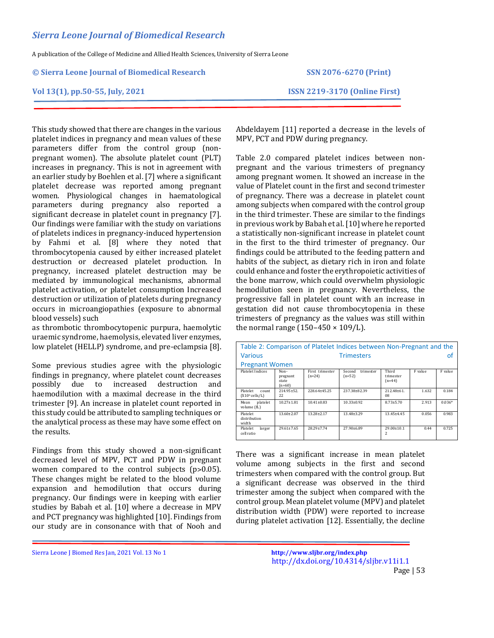#### **© Sierra Leone Journal of Biomedical Research SSN 2076-6270 (Print)**

#### **Vol 13(1), pp.50-55, July, 2021 ISSN 2219-3170 (Online First)**

This study showed that there are changes in the various platelet indices in pregnancy and mean values of these parameters differ from the control group (nonpregnant women). The absolute platelet count (PLT) increases in pregnancy. This is not in agreement with an earlier study by Boehlen et al. [7] where a significant platelet decrease was reported among pregnant women. Physiological changes in haematological parameters during pregnancy also reported a significant decrease in platelet count in pregnancy [7]. Our findings were familiar with the study on variations of platelets indices in pregnancy-induced hypertension by Fahmi et al. [8] where they noted that thrombocytopenia caused by either increased platelet destruction or decreased platelet production. In pregnancy, increased platelet destruction may be mediated by immunological mechanisms, abnormal platelet activation, or platelet consumption Increased destruction or utilization of platelets during pregnancy occurs in microangiopathies (exposure to abnormal blood vessels) such

as thrombotic thrombocytopenic purpura, haemolytic uraemic syndrome, haemolysis, elevated liver enzymes, low platelet (HELLP) syndrome, and pre-eclampsia [8].

Some previous studies agree with the physiologic findings in pregnancy, where platelet count decreases possibly due to increased destruction and haemodilution with a maximal decrease in the third trimester [9]. An increase in platelet count reported in this study could be attributed to sampling techniques or the analytical process as these may have some effect on the results.

Findings from this study showed a non-significant decreased level of MPV, PCT and PDW in pregnant women compared to the control subjects (p>0.05). These changes might be related to the blood volume expansion and hemodilution that occurs during pregnancy. Our findings were in keeping with earlier studies by Babah et al. [10] where a decrease in MPV and PCT pregnancy was highlighted [10]. Findings from our study are in consonance with that of Nooh and

There was a significant increase in mean platelet volume among subjects in the first and second trimesters when compared with the control group. But a significant decrease was observed in the third trimester among the subject when compared with the control group. Mean platelet volume (MPV) and platelet distribution width (PDW) were reported to increase during platelet activation [12]. Essentially, the decline

Abdeldayem [11] reported a decrease in the levels of MPV, PCT and PDW during pregnancy.

Table 2.0 compared platelet indices between nonpregnant and the various trimesters of pregnancy among pregnant women. It showed an increase in the value of Platelet count in the first and second trimester of pregnancy. There was a decrease in platelet count among subjects when compared with the control group in the third trimester. These are similar to the findings in previous work by Babah et al. [10] where he reported a statistically non-significant increase in platelet count in the first to the third trimester of pregnancy. Our findings could be attributed to the feeding pattern and habits of the subject, as dietary rich in iron and folate could enhance and foster the erythropoietic activities of the bone marrow, which could overwhelm physiologic hemodilution seen in pregnancy. Nevertheless, the progressive fall in platelet count with an increase in gestation did not cause thrombocytopenia in these trimesters of pregnancy as the values was still within the normal range  $(150-450 \times 109/L)$ .

| Table 2: Comparison of Platelet Indices between Non-Pregnant and the |                                       |                             |                                 |                                |         |          |
|----------------------------------------------------------------------|---------------------------------------|-----------------------------|---------------------------------|--------------------------------|---------|----------|
| <b>Various</b><br><b>Trimesters</b>                                  |                                       |                             |                                 |                                | ot      |          |
| <b>Pregnant Women</b>                                                |                                       |                             |                                 |                                |         |          |
| <b>Platelet Indices</b>                                              | Non-<br>pregnant<br>state<br>$(n=60)$ | First trimester<br>$(n=24)$ | Second<br>trimester<br>$(n=52)$ | Third<br>trimester<br>$(n=44)$ | F value | F value  |
| Platelet<br>count<br>$(X10^{\circ}$ cells/L)                         | $214.95 + 52.$<br>22                  | 228.64+45.25                | 237.38+82.39                    | $212.48 + 61.$<br>08           | 1.632   | 0.184    |
| platelet<br>Mean<br>volume (fL)                                      | $10.27 + 1.81$                        | $10.41 + 0.83$              | $10.33 + 0.92$                  | $8.73 + 5.70$                  | 2.913   | $0.036*$ |
| Platelet<br>distribution<br>width                                    | 13.60+2.07                            | 13.28+2.17                  | 13.48+3.29                      | $13.45 + 4.45$                 | 0.056   | 0.983    |
| Platelet<br>larger<br>cell ratio                                     | $29.61 + 7.65$                        | 28.29+7.74                  | 27.90±6.89                      | 29.00±10.1<br>$\overline{a}$   | 0.44    | 0.725    |

http://dx.doi.org/10.4314/sljbr.v11i1.1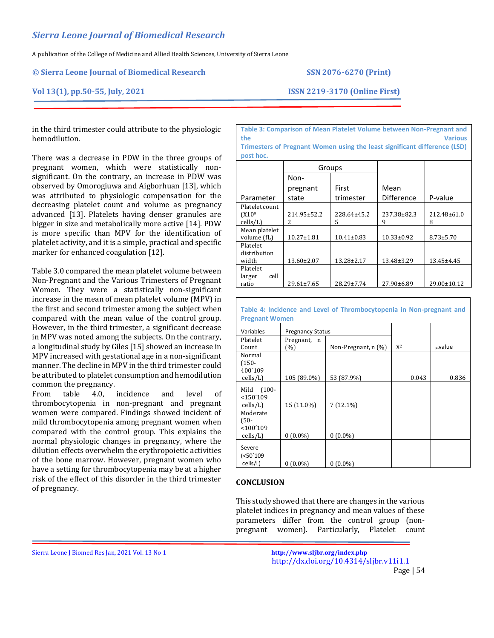#### **© Sierra Leone Journal of Biomedical Research SSN 2076-6270 (Print)**

## **Vol 13(1), pp.50-55, July, 2021 ISSN 2219-3170 (Online First)**

in the third trimester could attribute to the physiologic hemodilution.

There was a decrease in PDW in the three groups of pregnant women, which were statistically nonsignificant. On the contrary, an increase in PDW was observed by Omorogiuwa and Aigborhuan [13], which was attributed to physiologic compensation for the decreasing platelet count and volume as pregnancy advanced [13]. Platelets having denser granules are bigger in size and metabolically more active [14]. PDW is more specific than MPV for the identification of platelet activity, and it is a simple, practical and specific marker for enhanced coagulation [12].

Table 3.0 compared the mean platelet volume between Non-Pregnant and the Various Trimesters of Pregnant Women. They were a statistically non-significant increase in the mean of mean platelet volume (MPV) in the first and second trimester among the subject when compared with the mean value of the control group. However, in the third trimester, a significant decrease in MPV was noted among the subjects. On the contrary, a longitudinal study by Giles [15] showed an increase in MPV increased with gestational age in a non-significant manner. The decline in MPV in the third trimester could be attributed to platelet consumption and hemodilution common the pregnancy.

From table 4.0, incidence and level of thrombocytopenia in non-pregnant and pregnant women were compared. Findings showed incident of mild thrombocytopenia among pregnant women when compared with the control group. This explains the normal physiologic changes in pregnancy, where the dilution effects overwhelm the erythropoietic activities of the bone marrow. However, pregnant women who have a setting for thrombocytopenia may be at a higher risk of the effect of this disorder in the third trimester of pregnancy.

**Table 3: Comparison of Mean Platelet Volume between Non-Pregnant and the Various**

**Trimesters of Pregnant Women using the least significant difference (LSD) post hoc.**

|                     | Groups           |                  |                  |                  |
|---------------------|------------------|------------------|------------------|------------------|
|                     | Non-             |                  |                  |                  |
|                     | pregnant         | First            | Mean             |                  |
| Parameter           | state            | trimester        | Difference       | P-value          |
| Platelet count      |                  |                  |                  |                  |
| (X10 <sup>9</sup> ) | 214.95±52.2      | 228.64±45.2      | 237.38±82.3      | 212.48±61.0      |
| cells/L             | 2                | 5                | 9                | 8                |
| Mean platelet       |                  |                  |                  |                  |
| volume (fL)         | $10.27 \pm 1.81$ | $10.41 \pm 0.83$ | $10.33 \pm 0.92$ | $8.73 \pm 5.70$  |
| Platelet            |                  |                  |                  |                  |
| distribution        |                  |                  |                  |                  |
| width               | 13.60±2.07       | 13.28±2.17       | 13.48±3.29       | $13.45 \pm 4.45$ |
| Platelet            |                  |                  |                  |                  |
| cell<br>larger      |                  |                  |                  |                  |
| ratio               | $29.61 \pm 7.65$ | 28.29±7.74       | 27.90±6.89       | 29.00±10.12      |

**Table 4: Incidence and Level of Thrombocytopenia in Non-pregnant and Pregnant Women**

| Variables         | <b>Pregnancy Status</b> |                     |       |       |         |
|-------------------|-------------------------|---------------------|-------|-------|---------|
| Platelet          | Pregnant, n             |                     |       |       |         |
| Count             | (%)                     | Non-Pregnant, n (%) | $X^2$ |       | p-value |
| Normal            |                         |                     |       |       |         |
| $(150 -$          |                         |                     |       |       |         |
| 400'109           |                         |                     |       |       |         |
| cells/L)          | 105 (89.0%)             | 53 (87.9%)          |       | 0.043 | 0.836   |
| $(100 -$<br>Mild  |                         |                     |       |       |         |
| <150'109          |                         |                     |       |       |         |
| cells/L)          | 15 (11.0%)              | $7(12.1\%)$         |       |       |         |
| Moderate          |                         |                     |       |       |         |
| $(50 -$           |                         |                     |       |       |         |
| < 100'109         |                         |                     |       |       |         |
| $\text{cells/L}$  | $0(0.0\%)$              | $0(0.0\%)$          |       |       |         |
| Severe            |                         |                     |       |       |         |
| ( <b>50</b> '109) |                         |                     |       |       |         |
| cells/L)          | $0(0.0\%)$              | $0(0.0\%)$          |       |       |         |
|                   |                         |                     |       |       |         |

#### **CONCLUSION**

This study showed that there are changes in the various platelet indices in pregnancy and mean values of these parameters differ from the control group (nonpregnant women). Particularly, Platelet count